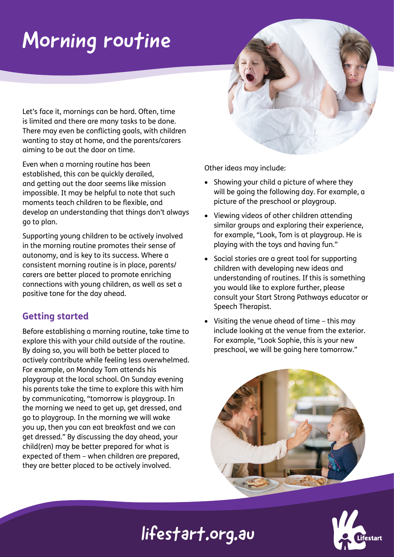# Morning routine

Let's face it, mornings can be hard. Often, time is limited and there are many tasks to be done. There may even be conflicting goals, with children wanting to stay at home, and the parents/carers aiming to be out the door on time.

Even when a morning routine has been established, this can be quickly derailed, and getting out the door seems like mission impossible. It may be helpful to note that such moments teach children to be flexible, and develop an understanding that things don't always go to plan.

Supporting young children to be actively involved in the morning routine promotes their sense of autonomy, and is key to its success. Where a consistent morning routine is in place, parents/ carers are better placed to promote enriching connections with young children, as well as set a positive tone for the day ahead.

### **Getting started**

Before establishing a morning routine, take time to explore this with your child outside of the routine. By doing so, you will both be better placed to actively contribute while feeling less overwhelmed. For example, on Monday Tom attends his playgroup at the local school. On Sunday evening his parents take the time to explore this with him by communicating, "tomorrow is playgroup. In the morning we need to get up, get dressed, and go to playgroup. In the morning we will wake you up, then you can eat breakfast and we can get dressed." By discussing the day ahead, your child(ren) may be better prepared for what is expected of them – when children are prepared, they are better placed to be actively involved.

Other ideas may include:

- Showing your child a picture of where they will be going the following day. For example, a picture of the preschool or playgroup.
- Viewing videos of other children attending similar groups and exploring their experience, for example, "Look, Tom is at playgroup. He is playing with the toys and having fun."
- Social stories are a great tool for supporting children with developing new ideas and understanding of routines. If this is something you would like to explore further, please consult your Start Strong Pathways educator or Speech Therapist.
- Visiting the venue ahead of time this may include looking at the venue from the exterior. For example, "Look Sophie, this is your new preschool, we will be going here tomorrow."



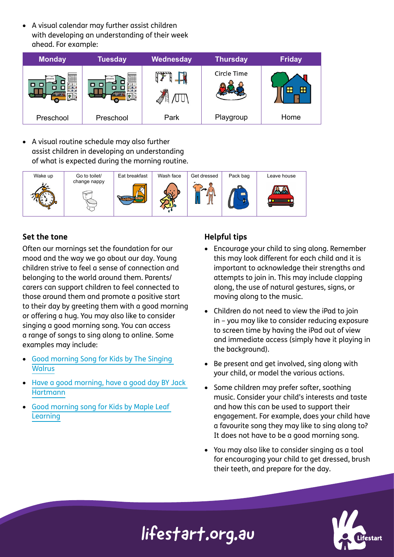• A visual calendar may further assist children with developing an understanding of their week ahead. For example:



• A visual routine schedule may also further assist children in developing an understanding of what is expected during the morning routine.



#### **Set the tone**

Often our mornings set the foundation for our mood and the way we go about our day. Young children strive to feel a sense of connection and belonging to the world around them. Parents/ carers can support children to feel connected to those around them and promote a positive start to their day by greeting them with a good morning or offering a hug. You may also like to consider singing a good morning song. You can access a range of songs to sing along to online. Some examples may include:

- [Good morning Song for Kids by The Singing](https://www.youtube.com/watch?v=CuI_p7a9VGs)  **[Walrus](https://www.youtube.com/watch?v=CuI_p7a9VGs)**
- [Have a good morning, have a good day BY Jack](https://www.youtube.com/watch?v=Xb29Js0wehg)  **[Hartmann](https://www.youtube.com/watch?v=Xb29Js0wehg)**
- [Good morning song for Kids by Maple Leaf](https://www.youtube.com/watch?v=-0o79IMmAYE)  **[Learning](https://www.youtube.com/watch?v=-0o79IMmAYE)**

#### **Helpful tips**

- Encourage your child to sing along. Remember this may look different for each child and it is important to acknowledge their strengths and attempts to join in. This may include clapping along, the use of natural gestures, signs, or moving along to the music.
- Children do not need to view the iPad to join in – you may like to consider reducing exposure to screen time by having the iPad out of view and immediate access (simply have it playing in the background).
- Be present and get involved, sing along with your child, or model the various actions.
- Some children may prefer softer, soothing music. Consider your child's interests and taste and how this can be used to support their engagement. For example, does your child have a favourite song they may like to sing along to? It does not have to be a good morning song.
- You may also like to consider singing as a tool for encouraging your child to get dressed, brush their teeth, and prepare for the day.

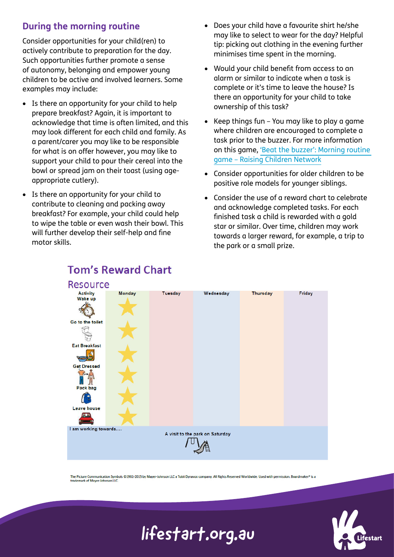### **During the morning routine**

Consider opportunities for your child(ren) to actively contribute to preparation for the day. Such opportunities further promote a sense of autonomy, belonging and empower young children to be active and involved learners. Some examples may include:

- Is there an opportunity for your child to help prepare breakfast? Again, it is important to acknowledge that time is often limited, and this may look different for each child and family. As a parent/carer you may like to be responsible for what is on offer however, you may like to support your child to pour their cereal into the bowl or spread jam on their toast (using ageappropriate cutlery).
- Is there an opportunity for your child to contribute to cleaning and packing away breakfast? For example, your child could help to wipe the table or even wash their bowl. This will further develop their self-help and fine motor skills.
- Does your child have a favourite shirt he/she may like to select to wear for the day? Helpful tip: picking out clothing in the evening further minimises time spent in the morning.
- Would your child benefit from access to an alarm or similar to indicate when a task is complete or it's time to leave the house? Is there an opportunity for your child to take ownership of this task?
- Keep things fun You may like to play a game where children are encouraged to complete a task prior to the buzzer. For more information on this game, ['Beat the buzzer': Morning routine](https://raisingchildren.net.au/school-age/behaviour/behaviour-management-tips-tools/beat-the-buzzer)  [game – Raising Children Network](https://raisingchildren.net.au/school-age/behaviour/behaviour-management-tips-tools/beat-the-buzzer)
- Consider opportunities for older children to be positive role models for younger siblings.
- Consider the use of a reward chart to celebrate and acknowledge completed tasks. For each finished task a child is rewarded with a gold star or similar. Over time, children may work towards a larger reward, for example, a trip to the park or a small prize.



### **Tom's Reward Chart**

The Picture Communication Symbols ©1981-2015 by Mayer-Johnson LLC a Tobii Dynavox company. All Rights Reserved Worldwide. Used with permission. Boardmaker® is a<br>trademark of Mayer-Johnson LLC.

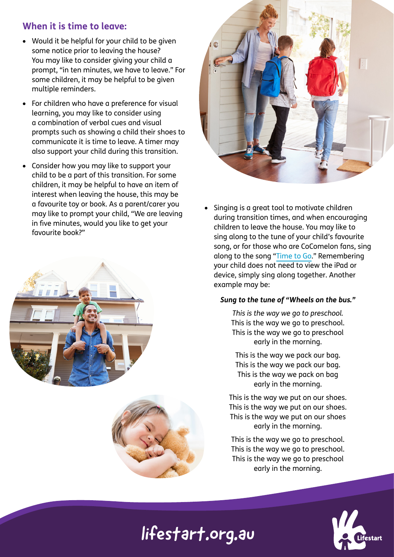### **When it is time to leave:**

- Would it be helpful for your child to be given some notice prior to leaving the house? You may like to consider giving your child a prompt, "in ten minutes, we have to leave." For some children, it may be helpful to be given multiple reminders.
- For children who have a preference for visual learning, you may like to consider using a combination of verbal cues and visual prompts such as showing a child their shoes to communicate it is time to leave. A timer may also support your child during this transition.
- Consider how you may like to support your child to be a part of this transition. For some children, it may be helpful to have an item of interest when leaving the house, this may be a favourite toy or book. As a parent/carer you may like to prompt your child, "We are leaving in five minutes, would you like to get your favourite book?"







Singing is a great tool to motivate children during transition times, and when encouraging children to leave the house. You may like to sing along to the tune of your child's favourite song, or for those who are CoComelon fans, sing along to the song "[Time to Go.](https://www.youtube.com/watch?v=wqIiTI0ft5k)" Remembering your child does not need to view the iPad or device, simply sing along together. Another example may be:

#### *Sung to the tune of "Wheels on the bus."*

*This is the way we go to preschool.* This is the way we go to preschool. This is the way we go to preschool early in the morning.

This is the way we pack our bag. This is the way we pack our bag. This is the way we pack on bag early in the morning.

This is the way we put on our shoes. This is the way we put on our shoes. This is the way we put on our shoes early in the morning.

This is the way we go to preschool. This is the way we go to preschool. This is the way we go to preschool early in the morning.